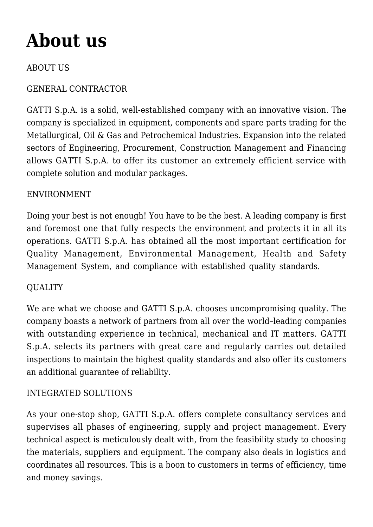# **[About us](https://www.gattispa.com/about-us/)**

# ABOUT US

# GENERAL CONTRACTOR

GATTI S.p.A. is a solid, well-established company with an innovative vision. The company is specialized in equipment, components and spare parts trading for the Metallurgical, Oil & Gas and Petrochemical Industries. Expansion into the related sectors of Engineering, Procurement, Construction Management and Financing allows GATTI S.p.A. to offer its customer an extremely efficient service with complete solution and modular packages.

#### ENVIRONMENT

Doing your best is not enough! You have to be the best. A leading company is first and foremost one that fully respects the environment and protects it in all its operations. GATTI S.p.A. has obtained all the most important certification for Quality Management, Environmental Management, Health and Safety Management System, and compliance with established quality standards.

# **QUALITY**

We are what we choose and GATTI S.p.A. chooses uncompromising quality. The company boasts a network of partners from all over the world–leading companies with outstanding experience in technical, mechanical and IT matters. GATTI S.p.A. selects its partners with great care and regularly carries out detailed inspections to maintain the highest quality standards and also offer its customers an additional guarantee of reliability.

# INTEGRATED SOLUTIONS

As your one-stop shop, GATTI S.p.A. offers complete consultancy services and supervises all phases of engineering, supply and project management. Every technical aspect is meticulously dealt with, from the feasibility study to choosing the materials, suppliers and equipment. The company also deals in logistics and coordinates all resources. This is a boon to customers in terms of efficiency, time and money savings.